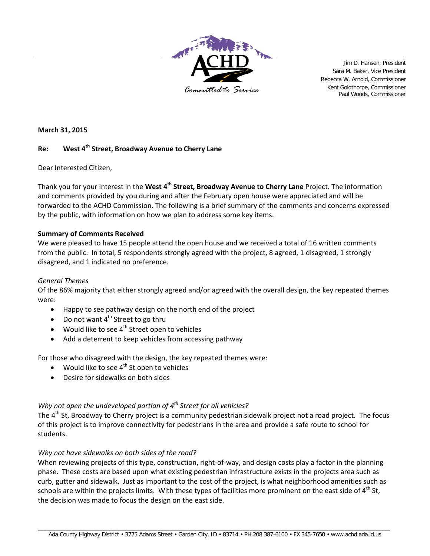

Jim D. Hansen, President Sara M. Baker, Vice President Rebecca W. Arnold, Commissioner Kent Goldthorpe, Commissioner Paul Woods, Commissioner *Committed to Service*

**March 31, 2015**

## **Re: West 4th Street, Broadway Avenue to Cherry Lane**

Dear Interested Citizen,

Thank you for your interest in the **West 4th Street, Broadway Avenue to Cherry Lane** Project. The information and comments provided by you during and after the February open house were appreciated and will be forwarded to the ACHD Commission. The following is a brief summary of the comments and concerns expressed by the public, with information on how we plan to address some key items.

### **Summary of Comments Received**

We were pleased to have 15 people attend the open house and we received a total of 16 written comments from the public. In total, 5 respondents strongly agreed with the project, 8 agreed, 1 disagreed, 1 strongly disagreed, and 1 indicated no preference.

### *General Themes*

Of the 86% majority that either strongly agreed and/or agreed with the overall design, the key repeated themes were:

- Happy to see pathway design on the north end of the project
- Do not want  $4<sup>th</sup>$  Street to go thru
- Would like to see  $4^{th}$  Street open to vehicles
- Add a deterrent to keep vehicles from accessing pathway

For those who disagreed with the design, the key repeated themes were:

- Would like to see  $4^{th}$  St open to vehicles
- Desire for sidewalks on both sides

# *Why not open the undeveloped portion of 4th Street for all vehicles?*

The 4<sup>th</sup> St, Broadway to Cherry project is a community pedestrian sidewalk project not a road project. The focus of this project is to improve connectivity for pedestrians in the area and provide a safe route to school for students.

### *Why not have sidewalks on both sides of the road?*

When reviewing projects of this type, construction, right-of-way, and design costs play a factor in the planning phase. These costs are based upon what existing pedestrian infrastructure exists in the projects area such as curb, gutter and sidewalk. Just as important to the cost of the project, is what neighborhood amenities such as schools are within the projects limits. With these types of facilities more prominent on the east side of  $4<sup>th</sup>$  St. the decision was made to focus the design on the east side.